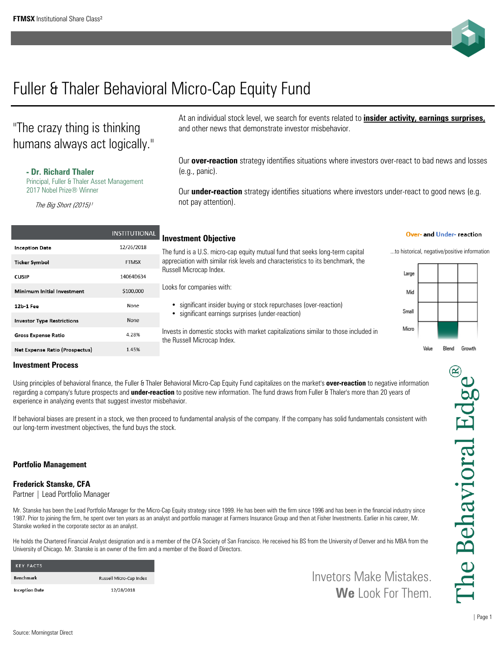

# Fuller & Thaler Behavioral Micro-Cap Equity Fund

## "The crazy thing is thinking humans always act logically."

### **- Dr. Richard Thaler**

Principal, Fuller & Thaler Asset Management 2017 Nobel Prize® Winner

The Big Short (2015)<sup>1</sup>

|                                       | <b>INSTITUTIONAL</b> |
|---------------------------------------|----------------------|
| <b>Inception Date</b>                 | 12/26/2018           |
| <b>Ticker Symbol</b>                  | <b>FTMSX</b>         |
| <b>CUSIP</b>                          | 14064D634            |
| Minimum Initial Investment            | \$100.000            |
| 12b-1 Fee                             | None                 |
| <b>Investor Type Restrictions</b>     | None                 |
| <b>Gross Expense Ratio</b>            | 4.28%                |
| <b>Net Expense Ratio (Prospectus)</b> | 1.45%                |

## At an individual stock level, we search for events related to **insider activity, earnings surprises,** and other news that demonstrate investor misbehavior.

Our **over-reaction** strategy identifies situations where investors over-react to bad news and losses (e.g., panic).

Our **under-reaction** strategy identifies situations where investors under-react to good news (e.g. not pay attention).

## **Investment Objective**

The fund is a U.S. micro-cap equity mutual fund that seeks long-term capital ...to historical, negative/positive information appreciation with similar risk levels and characteristics to its benchmark, the Russell Microcap Index.

Looks for companies with:

- significant insider buying or stock repurchases (over-reaction)
- significant earnings surprises (under-reaction)

Invests in domestic stocks with market capitalizations similar to those included in the Russell Microcap Index.

#### Over- and Under- reaction



Value Blend Growth

## **Investment Process**

Using principles of behavioral finance, the Fuller & Thaler Behavioral Micro-Cap Equity Fund capitalizes on the market's **over-reaction** to negative information regarding a company's future prospects and **under-reaction** to positive new information. The fund draws from Fuller & Thaler's more than 20 years of experience in analyzing events that suggest investor misbehavior.

If behavioral biases are present in a stock, we then proceed to fundamental analysis of the company. If the company has solid fundamentals consistent with our long-term investment objectives, the fund buys the stock.

## **Portfolio Management**

## **Frederick Stanske, CFA**

Partner | Lead Portfolio Manager

Mr. Stanske has been the Lead Portfolio Manager for the Micro-Cap Equity strategy since 1999. He has been with the firm since 1996 and has been in the financial industry since 1987. Prior to joining the firm, he spent over ten years as an analyst and portfolio manager at Farmers Insurance Group and then at Fisher Investments. Earlier in his career, Mr. Stanske worked in the corporate sector as an analyst.

He holds the Chartered Financial Analyst designation and is a member of the CFA Society of San Francisco. He received his BS from the University of Denver and his MBA from the University of Chicago. Mr. Stanske is an owner of the firm and a member of the Board of Directors.

| <b>KEY FACTS</b>      |                         |
|-----------------------|-------------------------|
| <b>Benchmark</b>      | Russell Micro-Cap Index |
| <b>Inception Date</b> | 12/28/2018              |

Invetors Make Mistakes. **We** Look For Them.